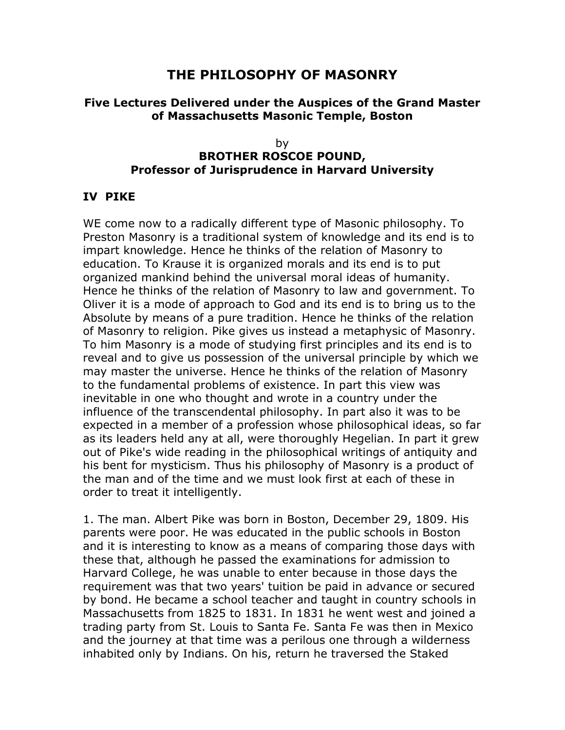# **THE PHILOSOPHY OF MASONRY**

### **Five Lectures Delivered under the Auspices of the Grand Master of Massachusetts Masonic Temple, Boston**

### by **BROTHER ROSCOE POUND, Professor of Jurisprudence in Harvard University**

## **IV PIKE**

WE come now to a radically different type of Masonic philosophy. To Preston Masonry is a traditional system of knowledge and its end is to impart knowledge. Hence he thinks of the relation of Masonry to education. To Krause it is organized morals and its end is to put organized mankind behind the universal moral ideas of humanity. Hence he thinks of the relation of Masonry to law and government. To Oliver it is a mode of approach to God and its end is to bring us to the Absolute by means of a pure tradition. Hence he thinks of the relation of Masonry to religion. Pike gives us instead a metaphysic of Masonry. To him Masonry is a mode of studying first principles and its end is to reveal and to give us possession of the universal principle by which we may master the universe. Hence he thinks of the relation of Masonry to the fundamental problems of existence. In part this view was inevitable in one who thought and wrote in a country under the influence of the transcendental philosophy. In part also it was to be expected in a member of a profession whose philosophical ideas, so far as its leaders held any at all, were thoroughly Hegelian. In part it grew out of Pike's wide reading in the philosophical writings of antiquity and his bent for mysticism. Thus his philosophy of Masonry is a product of the man and of the time and we must look first at each of these in order to treat it intelligently.

1. The man. Albert Pike was born in Boston, December 29, 1809. His parents were poor. He was educated in the public schools in Boston and it is interesting to know as a means of comparing those days with these that, although he passed the examinations for admission to Harvard College, he was unable to enter because in those days the requirement was that two years' tuition be paid in advance or secured by bond. He became a school teacher and taught in country schools in Massachusetts from 1825 to 1831. In 1831 he went west and joined a trading party from St. Louis to Santa Fe. Santa Fe was then in Mexico and the journey at that time was a perilous one through a wilderness inhabited only by Indians. On his, return he traversed the Staked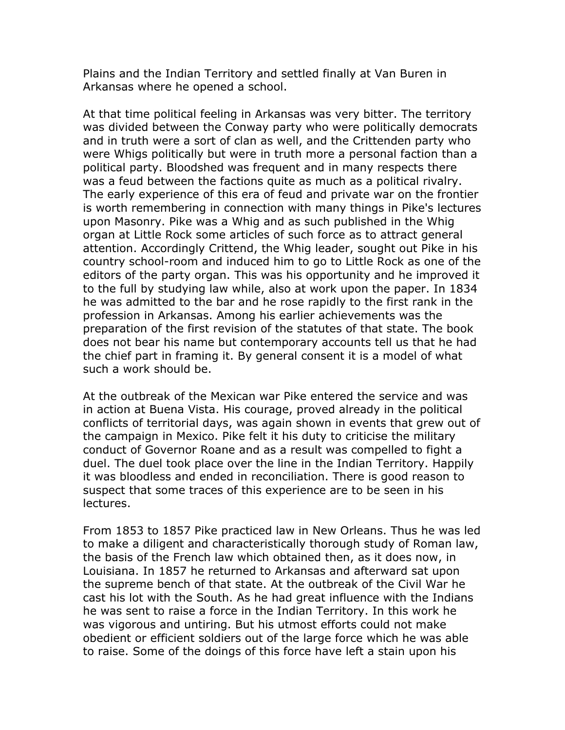Plains and the Indian Territory and settled finally at Van Buren in Arkansas where he opened a school.

At that time political feeling in Arkansas was very bitter. The territory was divided between the Conway party who were politically democrats and in truth were a sort of clan as well, and the Crittenden party who were Whigs politically but were in truth more a personal faction than a political party. Bloodshed was frequent and in many respects there was a feud between the factions quite as much as a political rivalry. The early experience of this era of feud and private war on the frontier is worth remembering in connection with many things in Pike's lectures upon Masonry. Pike was a Whig and as such published in the Whig organ at Little Rock some articles of such force as to attract general attention. Accordingly Crittend, the Whig leader, sought out Pike in his country school-room and induced him to go to Little Rock as one of the editors of the party organ. This was his opportunity and he improved it to the full by studying law while, also at work upon the paper. In 1834 he was admitted to the bar and he rose rapidly to the first rank in the profession in Arkansas. Among his earlier achievements was the preparation of the first revision of the statutes of that state. The book does not bear his name but contemporary accounts tell us that he had the chief part in framing it. By general consent it is a model of what such a work should be.

At the outbreak of the Mexican war Pike entered the service and was in action at Buena Vista. His courage, proved already in the political conflicts of territorial days, was again shown in events that grew out of the campaign in Mexico. Pike felt it his duty to criticise the military conduct of Governor Roane and as a result was compelled to fight a duel. The duel took place over the line in the Indian Territory. Happily it was bloodless and ended in reconciliation. There is good reason to suspect that some traces of this experience are to be seen in his lectures.

From 1853 to 1857 Pike practiced law in New Orleans. Thus he was led to make a diligent and characteristically thorough study of Roman law, the basis of the French law which obtained then, as it does now, in Louisiana. In 1857 he returned to Arkansas and afterward sat upon the supreme bench of that state. At the outbreak of the Civil War he cast his lot with the South. As he had great influence with the Indians he was sent to raise a force in the Indian Territory. In this work he was vigorous and untiring. But his utmost efforts could not make obedient or efficient soldiers out of the large force which he was able to raise. Some of the doings of this force have left a stain upon his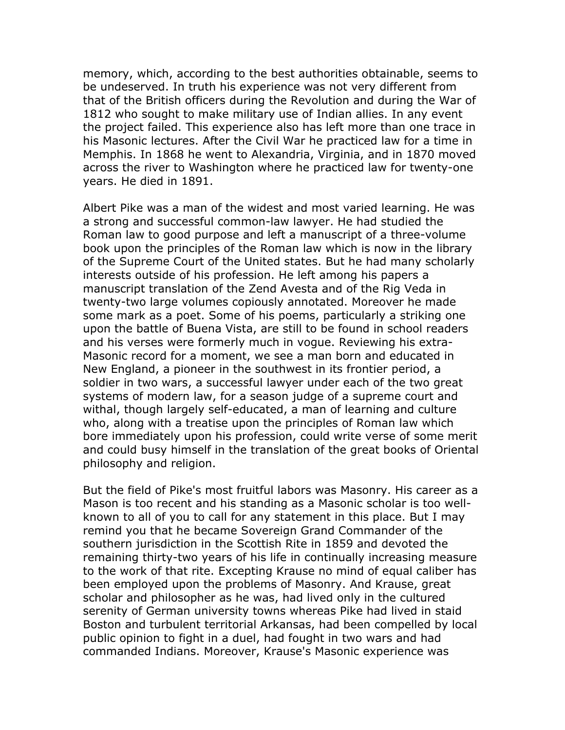memory, which, according to the best authorities obtainable, seems to be undeserved. In truth his experience was not very different from that of the British officers during the Revolution and during the War of 1812 who sought to make military use of Indian allies. In any event the project failed. This experience also has left more than one trace in his Masonic lectures. After the Civil War he practiced law for a time in Memphis. In 1868 he went to Alexandria, Virginia, and in 1870 moved across the river to Washington where he practiced law for twenty-one years. He died in 1891.

Albert Pike was a man of the widest and most varied learning. He was a strong and successful common-law lawyer. He had studied the Roman law to good purpose and left a manuscript of a three-volume book upon the principles of the Roman law which is now in the library of the Supreme Court of the United states. But he had many scholarly interests outside of his profession. He left among his papers a manuscript translation of the Zend Avesta and of the Rig Veda in twenty-two large volumes copiously annotated. Moreover he made some mark as a poet. Some of his poems, particularly a striking one upon the battle of Buena Vista, are still to be found in school readers and his verses were formerly much in vogue. Reviewing his extra-Masonic record for a moment, we see a man born and educated in New England, a pioneer in the southwest in its frontier period, a soldier in two wars, a successful lawyer under each of the two great systems of modern law, for a season judge of a supreme court and withal, though largely self-educated, a man of learning and culture who, along with a treatise upon the principles of Roman law which bore immediately upon his profession, could write verse of some merit and could busy himself in the translation of the great books of Oriental philosophy and religion.

But the field of Pike's most fruitful labors was Masonry. His career as a Mason is too recent and his standing as a Masonic scholar is too wellknown to all of you to call for any statement in this place. But I may remind you that he became Sovereign Grand Commander of the southern jurisdiction in the Scottish Rite in 1859 and devoted the remaining thirty-two years of his life in continually increasing measure to the work of that rite. Excepting Krause no mind of equal caliber has been employed upon the problems of Masonry. And Krause, great scholar and philosopher as he was, had lived only in the cultured serenity of German university towns whereas Pike had lived in staid Boston and turbulent territorial Arkansas, had been compelled by local public opinion to fight in a duel, had fought in two wars and had commanded Indians. Moreover, Krause's Masonic experience was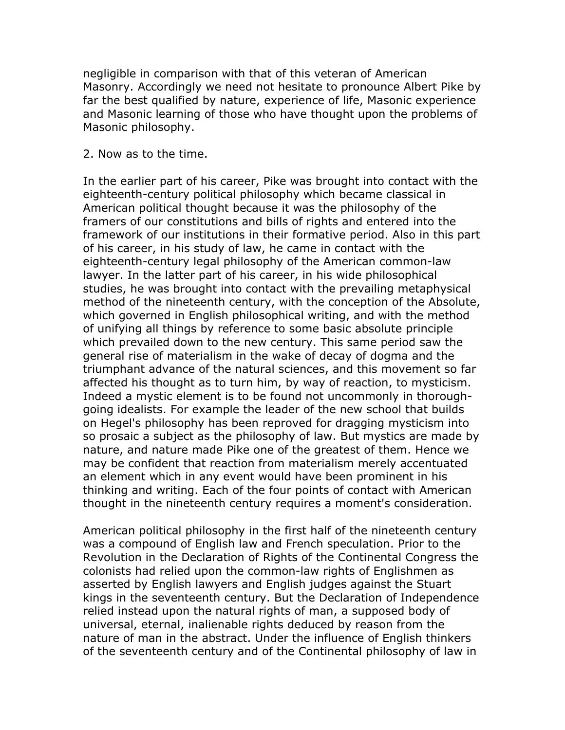negligible in comparison with that of this veteran of American Masonry. Accordingly we need not hesitate to pronounce Albert Pike by far the best qualified by nature, experience of life, Masonic experience and Masonic learning of those who have thought upon the problems of Masonic philosophy.

### 2. Now as to the time.

In the earlier part of his career, Pike was brought into contact with the eighteenth-century political philosophy which became classical in American political thought because it was the philosophy of the framers of our constitutions and bills of rights and entered into the framework of our institutions in their formative period. Also in this part of his career, in his study of law, he came in contact with the eighteenth-century legal philosophy of the American common-law lawyer. In the latter part of his career, in his wide philosophical studies, he was brought into contact with the prevailing metaphysical method of the nineteenth century, with the conception of the Absolute, which governed in English philosophical writing, and with the method of unifying all things by reference to some basic absolute principle which prevailed down to the new century. This same period saw the general rise of materialism in the wake of decay of dogma and the triumphant advance of the natural sciences, and this movement so far affected his thought as to turn him, by way of reaction, to mysticism. Indeed a mystic element is to be found not uncommonly in thoroughgoing idealists. For example the leader of the new school that builds on Hegel's philosophy has been reproved for dragging mysticism into so prosaic a subject as the philosophy of law. But mystics are made by nature, and nature made Pike one of the greatest of them. Hence we may be confident that reaction from materialism merely accentuated an element which in any event would have been prominent in his thinking and writing. Each of the four points of contact with American thought in the nineteenth century requires a moment's consideration.

American political philosophy in the first half of the nineteenth century was a compound of English law and French speculation. Prior to the Revolution in the Declaration of Rights of the Continental Congress the colonists had relied upon the common-law rights of Englishmen as asserted by English lawyers and English judges against the Stuart kings in the seventeenth century. But the Declaration of Independence relied instead upon the natural rights of man, a supposed body of universal, eternal, inalienable rights deduced by reason from the nature of man in the abstract. Under the influence of English thinkers of the seventeenth century and of the Continental philosophy of law in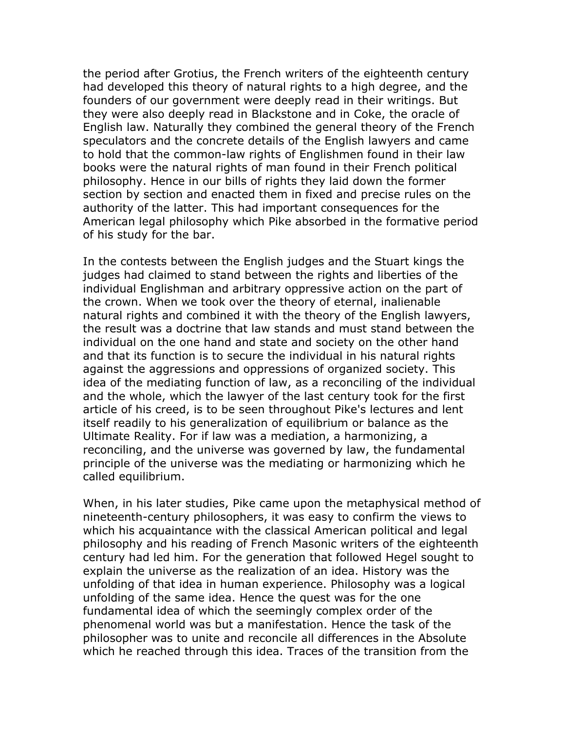the period after Grotius, the French writers of the eighteenth century had developed this theory of natural rights to a high degree, and the founders of our government were deeply read in their writings. But they were also deeply read in Blackstone and in Coke, the oracle of English law. Naturally they combined the general theory of the French speculators and the concrete details of the English lawyers and came to hold that the common-law rights of Englishmen found in their law books were the natural rights of man found in their French political philosophy. Hence in our bills of rights they laid down the former section by section and enacted them in fixed and precise rules on the authority of the latter. This had important consequences for the American legal philosophy which Pike absorbed in the formative period of his study for the bar.

In the contests between the English judges and the Stuart kings the judges had claimed to stand between the rights and liberties of the individual Englishman and arbitrary oppressive action on the part of the crown. When we took over the theory of eternal, inalienable natural rights and combined it with the theory of the English lawyers, the result was a doctrine that law stands and must stand between the individual on the one hand and state and society on the other hand and that its function is to secure the individual in his natural rights against the aggressions and oppressions of organized society. This idea of the mediating function of law, as a reconciling of the individual and the whole, which the lawyer of the last century took for the first article of his creed, is to be seen throughout Pike's lectures and lent itself readily to his generalization of equilibrium or balance as the Ultimate Reality. For if law was a mediation, a harmonizing, a reconciling, and the universe was governed by law, the fundamental principle of the universe was the mediating or harmonizing which he called equilibrium.

When, in his later studies, Pike came upon the metaphysical method of nineteenth-century philosophers, it was easy to confirm the views to which his acquaintance with the classical American political and legal philosophy and his reading of French Masonic writers of the eighteenth century had led him. For the generation that followed Hegel sought to explain the universe as the realization of an idea. History was the unfolding of that idea in human experience. Philosophy was a logical unfolding of the same idea. Hence the quest was for the one fundamental idea of which the seemingly complex order of the phenomenal world was but a manifestation. Hence the task of the philosopher was to unite and reconcile all differences in the Absolute which he reached through this idea. Traces of the transition from the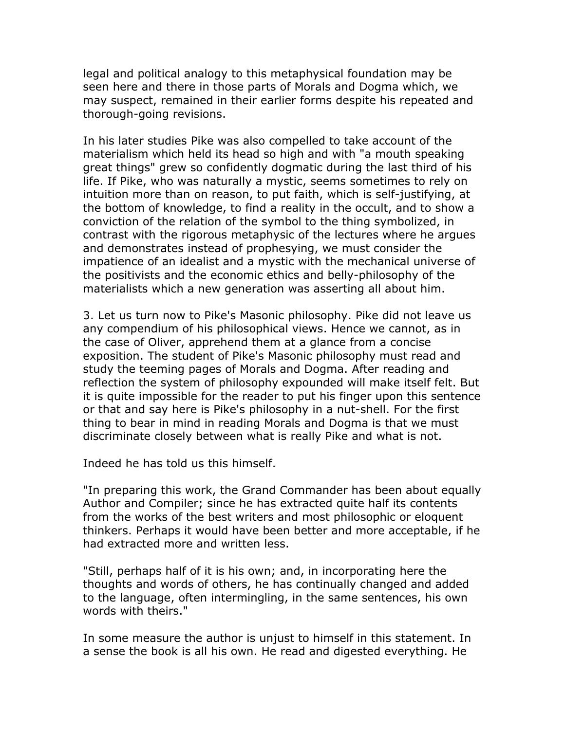legal and political analogy to this metaphysical foundation may be seen here and there in those parts of Morals and Dogma which, we may suspect, remained in their earlier forms despite his repeated and thorough-going revisions.

In his later studies Pike was also compelled to take account of the materialism which held its head so high and with "a mouth speaking great things" grew so confidently dogmatic during the last third of his life. If Pike, who was naturally a mystic, seems sometimes to rely on intuition more than on reason, to put faith, which is self-justifying, at the bottom of knowledge, to find a reality in the occult, and to show a conviction of the relation of the symbol to the thing symbolized, in contrast with the rigorous metaphysic of the lectures where he argues and demonstrates instead of prophesying, we must consider the impatience of an idealist and a mystic with the mechanical universe of the positivists and the economic ethics and belly-philosophy of the materialists which a new generation was asserting all about him.

3. Let us turn now to Pike's Masonic philosophy. Pike did not leave us any compendium of his philosophical views. Hence we cannot, as in the case of Oliver, apprehend them at a glance from a concise exposition. The student of Pike's Masonic philosophy must read and study the teeming pages of Morals and Dogma. After reading and reflection the system of philosophy expounded will make itself felt. But it is quite impossible for the reader to put his finger upon this sentence or that and say here is Pike's philosophy in a nut-shell. For the first thing to bear in mind in reading Morals and Dogma is that we must discriminate closely between what is really Pike and what is not.

Indeed he has told us this himself.

"In preparing this work, the Grand Commander has been about equally Author and Compiler; since he has extracted quite half its contents from the works of the best writers and most philosophic or eloquent thinkers. Perhaps it would have been better and more acceptable, if he had extracted more and written less.

"Still, perhaps half of it is his own; and, in incorporating here the thoughts and words of others, he has continually changed and added to the language, often intermingling, in the same sentences, his own words with theirs."

In some measure the author is unjust to himself in this statement. In a sense the book is all his own. He read and digested everything. He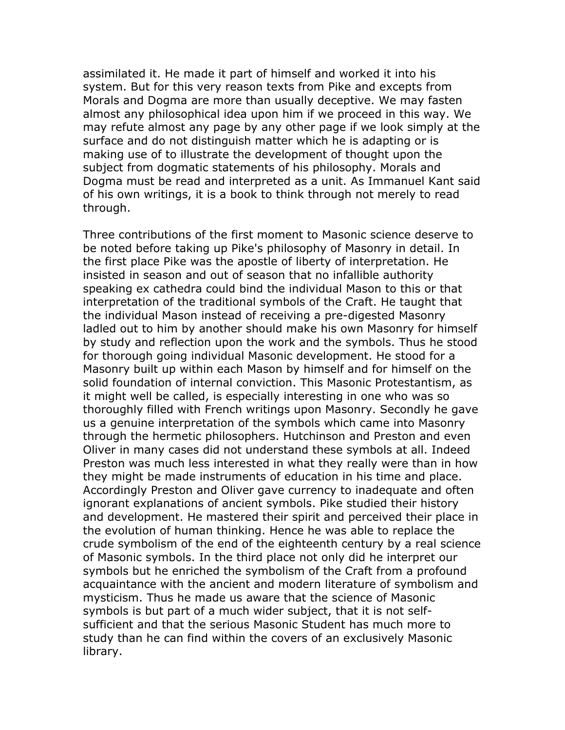assimilated it. He made it part of himself and worked it into his system. But for this very reason texts from Pike and excepts from Morals and Dogma are more than usually deceptive. We may fasten almost any philosophical idea upon him if we proceed in this way. We may refute almost any page by any other page if we look simply at the surface and do not distinguish matter which he is adapting or is making use of to illustrate the development of thought upon the subject from dogmatic statements of his philosophy. Morals and Dogma must be read and interpreted as a unit. As Immanuel Kant said of his own writings, it is a book to think through not merely to read through.

Three contributions of the first moment to Masonic science deserve to be noted before taking up Pike's philosophy of Masonry in detail. In the first place Pike was the apostle of liberty of interpretation. He insisted in season and out of season that no infallible authority speaking ex cathedra could bind the individual Mason to this or that interpretation of the traditional symbols of the Craft. He taught that the individual Mason instead of receiving a pre-digested Masonry ladled out to him by another should make his own Masonry for himself by study and reflection upon the work and the symbols. Thus he stood for thorough going individual Masonic development. He stood for a Masonry built up within each Mason by himself and for himself on the solid foundation of internal conviction. This Masonic Protestantism, as it might well be called, is especially interesting in one who was so thoroughly filled with French writings upon Masonry. Secondly he gave us a genuine interpretation of the symbols which came into Masonry through the hermetic philosophers. Hutchinson and Preston and even Oliver in many cases did not understand these symbols at all. Indeed Preston was much less interested in what they really were than in how they might be made instruments of education in his time and place. Accordingly Preston and Oliver gave currency to inadequate and often ignorant explanations of ancient symbols. Pike studied their history and development. He mastered their spirit and perceived their place in the evolution of human thinking. Hence he was able to replace the crude symbolism of the end of the eighteenth century by a real science of Masonic symbols. In the third place not only did he interpret our symbols but he enriched the symbolism of the Craft from a profound acquaintance with the ancient and modern literature of symbolism and mysticism. Thus he made us aware that the science of Masonic symbols is but part of a much wider subject, that it is not selfsufficient and that the serious Masonic Student has much more to study than he can find within the covers of an exclusively Masonic library.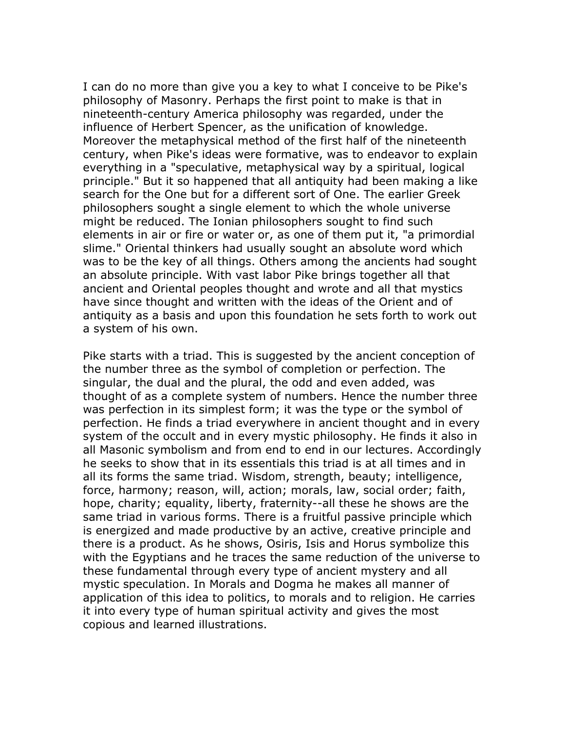I can do no more than give you a key to what I conceive to be Pike's philosophy of Masonry. Perhaps the first point to make is that in nineteenth-century America philosophy was regarded, under the influence of Herbert Spencer, as the unification of knowledge. Moreover the metaphysical method of the first half of the nineteenth century, when Pike's ideas were formative, was to endeavor to explain everything in a "speculative, metaphysical way by a spiritual, logical principle." But it so happened that all antiquity had been making a like search for the One but for a different sort of One. The earlier Greek philosophers sought a single element to which the whole universe might be reduced. The Ionian philosophers sought to find such elements in air or fire or water or, as one of them put it, "a primordial slime." Oriental thinkers had usually sought an absolute word which was to be the key of all things. Others among the ancients had sought an absolute principle. With vast labor Pike brings together all that ancient and Oriental peoples thought and wrote and all that mystics have since thought and written with the ideas of the Orient and of antiquity as a basis and upon this foundation he sets forth to work out a system of his own.

Pike starts with a triad. This is suggested by the ancient conception of the number three as the symbol of completion or perfection. The singular, the dual and the plural, the odd and even added, was thought of as a complete system of numbers. Hence the number three was perfection in its simplest form; it was the type or the symbol of perfection. He finds a triad everywhere in ancient thought and in every system of the occult and in every mystic philosophy. He finds it also in all Masonic symbolism and from end to end in our lectures. Accordingly he seeks to show that in its essentials this triad is at all times and in all its forms the same triad. Wisdom, strength, beauty; intelligence, force, harmony; reason, will, action; morals, law, social order; faith, hope, charity; equality, liberty, fraternity--all these he shows are the same triad in various forms. There is a fruitful passive principle which is energized and made productive by an active, creative principle and there is a product. As he shows, Osiris, Isis and Horus symbolize this with the Egyptians and he traces the same reduction of the universe to these fundamental through every type of ancient mystery and all mystic speculation. In Morals and Dogma he makes all manner of application of this idea to politics, to morals and to religion. He carries it into every type of human spiritual activity and gives the most copious and learned illustrations.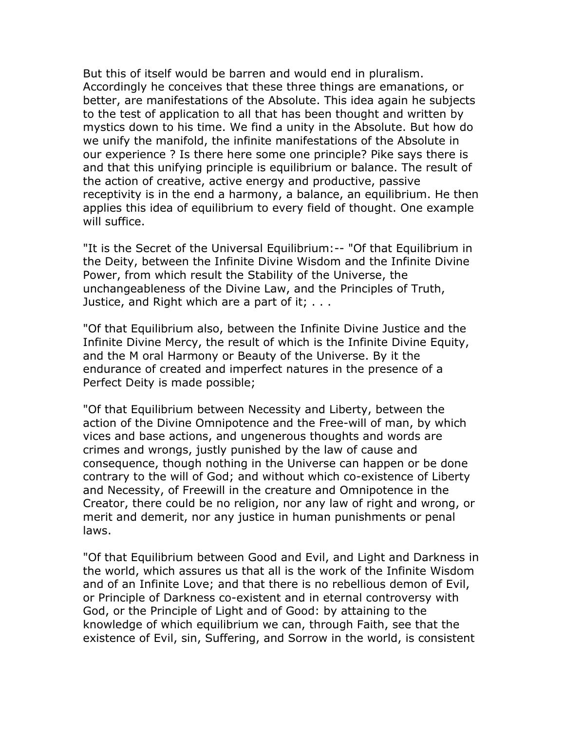But this of itself would be barren and would end in pluralism. Accordingly he conceives that these three things are emanations, or better, are manifestations of the Absolute. This idea again he subjects to the test of application to all that has been thought and written by mystics down to his time. We find a unity in the Absolute. But how do we unify the manifold, the infinite manifestations of the Absolute in our experience ? Is there here some one principle? Pike says there is and that this unifying principle is equilibrium or balance. The result of the action of creative, active energy and productive, passive receptivity is in the end a harmony, a balance, an equilibrium. He then applies this idea of equilibrium to every field of thought. One example will suffice.

"It is the Secret of the Universal Equilibrium:-- "Of that Equilibrium in the Deity, between the Infinite Divine Wisdom and the Infinite Divine Power, from which result the Stability of the Universe, the unchangeableness of the Divine Law, and the Principles of Truth, Justice, and Right which are a part of it; ...

"Of that Equilibrium also, between the Infinite Divine Justice and the Infinite Divine Mercy, the result of which is the Infinite Divine Equity, and the M oral Harmony or Beauty of the Universe. By it the endurance of created and imperfect natures in the presence of a Perfect Deity is made possible;

"Of that Equilibrium between Necessity and Liberty, between the action of the Divine Omnipotence and the Free-will of man, by which vices and base actions, and ungenerous thoughts and words are crimes and wrongs, justly punished by the law of cause and consequence, though nothing in the Universe can happen or be done contrary to the will of God; and without which co-existence of Liberty and Necessity, of Freewill in the creature and Omnipotence in the Creator, there could be no religion, nor any law of right and wrong, or merit and demerit, nor any justice in human punishments or penal laws.

"Of that Equilibrium between Good and Evil, and Light and Darkness in the world, which assures us that all is the work of the Infinite Wisdom and of an Infinite Love; and that there is no rebellious demon of Evil, or Principle of Darkness co-existent and in eternal controversy with God, or the Principle of Light and of Good: by attaining to the knowledge of which equilibrium we can, through Faith, see that the existence of Evil, sin, Suffering, and Sorrow in the world, is consistent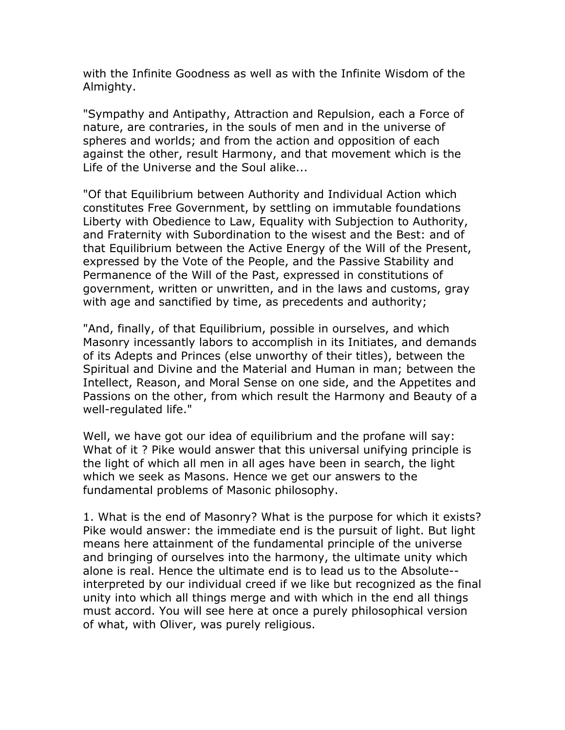with the Infinite Goodness as well as with the Infinite Wisdom of the Almighty.

"Sympathy and Antipathy, Attraction and Repulsion, each a Force of nature, are contraries, in the souls of men and in the universe of spheres and worlds; and from the action and opposition of each against the other, result Harmony, and that movement which is the Life of the Universe and the Soul alike...

"Of that Equilibrium between Authority and Individual Action which constitutes Free Government, by settling on immutable foundations Liberty with Obedience to Law, Equality with Subjection to Authority, and Fraternity with Subordination to the wisest and the Best: and of that Equilibrium between the Active Energy of the Will of the Present, expressed by the Vote of the People, and the Passive Stability and Permanence of the Will of the Past, expressed in constitutions of government, written or unwritten, and in the laws and customs, gray with age and sanctified by time, as precedents and authority;

"And, finally, of that Equilibrium, possible in ourselves, and which Masonry incessantly labors to accomplish in its Initiates, and demands of its Adepts and Princes (else unworthy of their titles), between the Spiritual and Divine and the Material and Human in man; between the Intellect, Reason, and Moral Sense on one side, and the Appetites and Passions on the other, from which result the Harmony and Beauty of a well-regulated life."

Well, we have got our idea of equilibrium and the profane will say: What of it ? Pike would answer that this universal unifying principle is the light of which all men in all ages have been in search, the light which we seek as Masons. Hence we get our answers to the fundamental problems of Masonic philosophy.

1. What is the end of Masonry? What is the purpose for which it exists? Pike would answer: the immediate end is the pursuit of light. But light means here attainment of the fundamental principle of the universe and bringing of ourselves into the harmony, the ultimate unity which alone is real. Hence the ultimate end is to lead us to the Absolute- interpreted by our individual creed if we like but recognized as the final unity into which all things merge and with which in the end all things must accord. You will see here at once a purely philosophical version of what, with Oliver, was purely religious.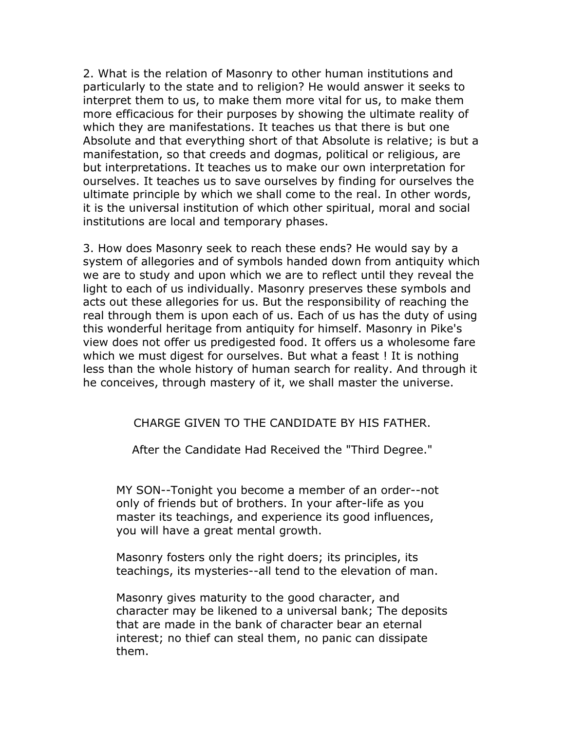2. What is the relation of Masonry to other human institutions and particularly to the state and to religion? He would answer it seeks to interpret them to us, to make them more vital for us, to make them more efficacious for their purposes by showing the ultimate reality of which they are manifestations. It teaches us that there is but one Absolute and that everything short of that Absolute is relative; is but a manifestation, so that creeds and dogmas, political or religious, are but interpretations. It teaches us to make our own interpretation for ourselves. It teaches us to save ourselves by finding for ourselves the ultimate principle by which we shall come to the real. In other words, it is the universal institution of which other spiritual, moral and social institutions are local and temporary phases.

3. How does Masonry seek to reach these ends? He would say by a system of allegories and of symbols handed down from antiquity which we are to study and upon which we are to reflect until they reveal the light to each of us individually. Masonry preserves these symbols and acts out these allegories for us. But the responsibility of reaching the real through them is upon each of us. Each of us has the duty of using this wonderful heritage from antiquity for himself. Masonry in Pike's view does not offer us predigested food. It offers us a wholesome fare which we must digest for ourselves. But what a feast ! It is nothing less than the whole history of human search for reality. And through it he conceives, through mastery of it, we shall master the universe.

### CHARGE GIVEN TO THE CANDIDATE BY HIS FATHER.

After the Candidate Had Received the "Third Degree."

MY SON--Tonight you become a member of an order--not only of friends but of brothers. In your after-life as you master its teachings, and experience its good influences, you will have a great mental growth.

Masonry fosters only the right doers; its principles, its teachings, its mysteries--all tend to the elevation of man.

Masonry gives maturity to the good character, and character may be likened to a universal bank; The deposits that are made in the bank of character bear an eternal interest; no thief can steal them, no panic can dissipate them.